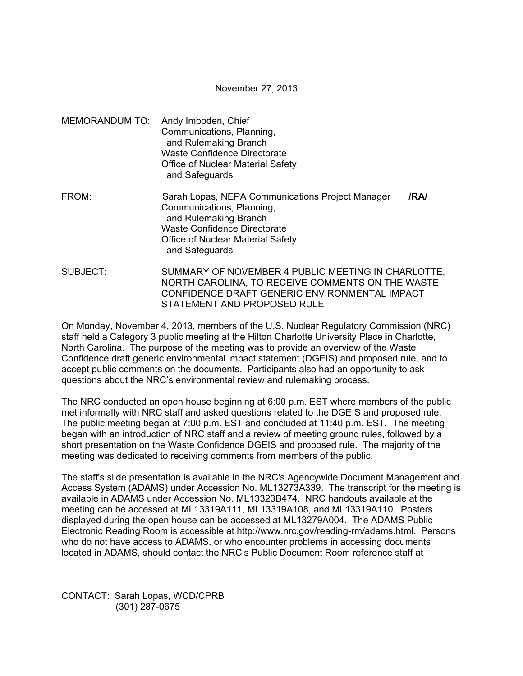November 27, 2013

MEMORANDUM TO: Andy Imboden, Chief Communications, Planning, and Rulemaking Branch Waste Confidence Directorate Office of Nuclear Material Safety and Safeguards FROM: Sarah Lopas, NEPA Communications Project Manager **/RA/**  Communications, Planning, and Rulemaking Branch Waste Confidence Directorate

Office of Nuclear Material Safety

and Safeguards

SUBJECT: SUMMARY OF NOVEMBER 4 PUBLIC MEETING IN CHARLOTTE, NORTH CAROLINA, TO RECEIVE COMMENTS ON THE WASTE CONFIDENCE DRAFT GENERIC ENVIRONMENTAL IMPACT STATEMENT AND PROPOSED RULE

On Monday, November 4, 2013, members of the U.S. Nuclear Regulatory Commission (NRC) staff held a Category 3 public meeting at the Hilton Charlotte University Place in Charlotte, North Carolina. The purpose of the meeting was to provide an overview of the Waste Confidence draft generic environmental impact statement (DGEIS) and proposed rule, and to accept public comments on the documents. Participants also had an opportunity to ask questions about the NRC's environmental review and rulemaking process.

The NRC conducted an open house beginning at 6:00 p.m. EST where members of the public met informally with NRC staff and asked questions related to the DGEIS and proposed rule. The public meeting began at 7:00 p.m. EST and concluded at 11:40 p.m. EST. The meeting began with an introduction of NRC staff and a review of meeting ground rules, followed by a short presentation on the Waste Confidence DGEIS and proposed rule. The majority of the meeting was dedicated to receiving comments from members of the public.

The staff's slide presentation is available in the NRC's Agencywide Document Management and Access System (ADAMS) under Accession No. ML13273A339. The transcript for the meeting is available in ADAMS under Accession No. ML13323B474. NRC handouts available at the meeting can be accessed at ML13319A111, ML13319A108, and ML13319A110. Posters displayed during the open house can be accessed at ML13279A004. The ADAMS Public Electronic Reading Room is accessible at http://www.nrc.gov/reading-rm/adams.html. Persons who do not have access to ADAMS, or who encounter problems in accessing documents located in ADAMS, should contact the NRC's Public Document Room reference staff at

CONTACT: Sarah Lopas, WCD/CPRB (301) 287-0675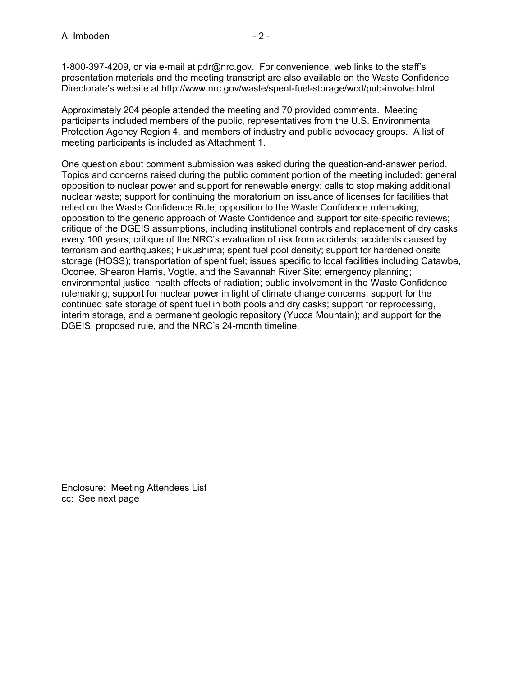1-800-397-4209, or via e-mail at pdr@nrc.gov. For convenience, web links to the staff's presentation materials and the meeting transcript are also available on the Waste Confidence Directorate's website at http://www.nrc.gov/waste/spent-fuel-storage/wcd/pub-involve.html.

Approximately 204 people attended the meeting and 70 provided comments. Meeting participants included members of the public, representatives from the U.S. Environmental Protection Agency Region 4, and members of industry and public advocacy groups. A list of meeting participants is included as Attachment 1.

One question about comment submission was asked during the question-and-answer period. Topics and concerns raised during the public comment portion of the meeting included: general opposition to nuclear power and support for renewable energy; calls to stop making additional nuclear waste; support for continuing the moratorium on issuance of licenses for facilities that relied on the Waste Confidence Rule; opposition to the Waste Confidence rulemaking; opposition to the generic approach of Waste Confidence and support for site-specific reviews; critique of the DGEIS assumptions, including institutional controls and replacement of dry casks every 100 years; critique of the NRC's evaluation of risk from accidents; accidents caused by terrorism and earthquakes; Fukushima; spent fuel pool density; support for hardened onsite storage (HOSS); transportation of spent fuel; issues specific to local facilities including Catawba, Oconee, Shearon Harris, Vogtle, and the Savannah River Site; emergency planning; environmental justice; health effects of radiation; public involvement in the Waste Confidence rulemaking; support for nuclear power in light of climate change concerns; support for the continued safe storage of spent fuel in both pools and dry casks; support for reprocessing, interim storage, and a permanent geologic repository (Yucca Mountain); and support for the DGEIS, proposed rule, and the NRC's 24-month timeline.

Enclosure: Meeting Attendees List cc: See next page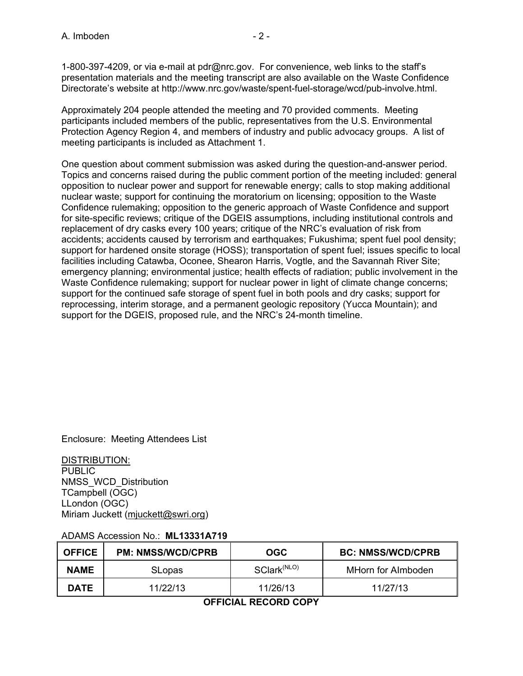1-800-397-4209, or via e-mail at pdr@nrc.gov. For convenience, web links to the staff's presentation materials and the meeting transcript are also available on the Waste Confidence Directorate's website at http://www.nrc.gov/waste/spent-fuel-storage/wcd/pub-involve.html.

Approximately 204 people attended the meeting and 70 provided comments. Meeting participants included members of the public, representatives from the U.S. Environmental Protection Agency Region 4, and members of industry and public advocacy groups. A list of meeting participants is included as Attachment 1.

One question about comment submission was asked during the question-and-answer period. Topics and concerns raised during the public comment portion of the meeting included: general opposition to nuclear power and support for renewable energy; calls to stop making additional nuclear waste; support for continuing the moratorium on licensing; opposition to the Waste Confidence rulemaking; opposition to the generic approach of Waste Confidence and support for site-specific reviews; critique of the DGEIS assumptions, including institutional controls and replacement of dry casks every 100 years; critique of the NRC's evaluation of risk from accidents; accidents caused by terrorism and earthquakes; Fukushima; spent fuel pool density; support for hardened onsite storage (HOSS); transportation of spent fuel; issues specific to local facilities including Catawba, Oconee, Shearon Harris, Vogtle, and the Savannah River Site; emergency planning; environmental justice; health effects of radiation; public involvement in the Waste Confidence rulemaking; support for nuclear power in light of climate change concerns; support for the continued safe storage of spent fuel in both pools and dry casks; support for reprocessing, interim storage, and a permanent geologic repository (Yucca Mountain); and support for the DGEIS, proposed rule, and the NRC's 24-month timeline.

Enclosure: Meeting Attendees List

DISTRIBUTION: PUBLIC NMSS\_WCD\_Distribution TCampbell (OGC) LLondon (OGC) Miriam Juckett (mjuckett@swri.org)

## ADAMS Accession No.: **ML13331A719**

| <b>OFFICE</b> | <b>PM: NMSS/WCD/CPRB</b> | OGC                     | <b>BC: NMSS/WCD/CPRB</b> |
|---------------|--------------------------|-------------------------|--------------------------|
| <b>NAME</b>   | <b>SLopas</b>            | SClark <sup>(NLO)</sup> | MHorn for Almboden       |
| <b>DATE</b>   | 11/22/13                 | 11/26/13                | 11/27/13                 |

**OFFICIAL RECORD COPY**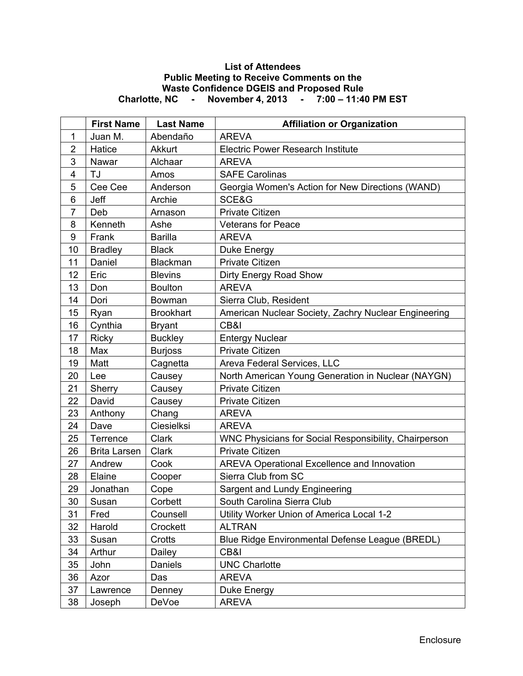## **List of Attendees Public Meeting to Receive Comments on the Waste Confidence DGEIS and Proposed Rule Charlotte, NC - November 4, 2013 - 7:00 – 11:40 PM EST**

|                | <b>First Name</b>   | <b>Last Name</b> | <b>Affiliation or Organization</b>                    |
|----------------|---------------------|------------------|-------------------------------------------------------|
| 1              | Juan M.             | Abendaño         | <b>AREVA</b>                                          |
| $\overline{2}$ | Hatice              | Akkurt           | <b>Electric Power Research Institute</b>              |
| 3              | Nawar               | Alchaar          | <b>AREVA</b>                                          |
| 4              | TJ                  | Amos             | <b>SAFE Carolinas</b>                                 |
| 5              | Cee Cee             | Anderson         | Georgia Women's Action for New Directions (WAND)      |
| 6              | Jeff                | Archie           | SCE&G                                                 |
| $\overline{7}$ | Deb                 | Arnason          | <b>Private Citizen</b>                                |
| 8              | Kenneth             | Ashe             | Veterans for Peace                                    |
| 9              | Frank               | <b>Barilla</b>   | <b>AREVA</b>                                          |
| 10             | <b>Bradley</b>      | <b>Black</b>     | Duke Energy                                           |
| 11             | Daniel              | <b>Blackman</b>  | <b>Private Citizen</b>                                |
| 12             | Eric                | <b>Blevins</b>   | Dirty Energy Road Show                                |
| 13             | Don                 | <b>Boulton</b>   | <b>AREVA</b>                                          |
| 14             | Dori                | Bowman           | Sierra Club, Resident                                 |
| 15             | Ryan                | <b>Brookhart</b> | American Nuclear Society, Zachry Nuclear Engineering  |
| 16             | Cynthia             | <b>Bryant</b>    | CB&I                                                  |
| 17             | <b>Ricky</b>        | <b>Buckley</b>   | <b>Entergy Nuclear</b>                                |
| 18             | Max                 | <b>Burjoss</b>   | Private Citizen                                       |
| 19             | Matt                | Cagnetta         | Areva Federal Services, LLC                           |
| 20             | Lee                 | Causey           | North American Young Generation in Nuclear (NAYGN)    |
| 21             | Sherry              | Causey           | Private Citizen                                       |
| 22             | David               | Causey           | <b>Private Citizen</b>                                |
| 23             | Anthony             | Chang            | <b>AREVA</b>                                          |
| 24             | Dave                | Ciesielksi       | <b>AREVA</b>                                          |
| 25             | Terrence            | Clark            | WNC Physicians for Social Responsibility, Chairperson |
| 26             | <b>Brita Larsen</b> | Clark            | <b>Private Citizen</b>                                |
| 27             | Andrew              | Cook             | <b>AREVA Operational Excellence and Innovation</b>    |
| 28             | Elaine              | Cooper           | Sierra Club from SC                                   |
| 29             | Jonathan            | Cope             | Sargent and Lundy Engineering                         |
| 30             | Susan               | Corbett          | South Carolina Sierra Club                            |
| 31             | Fred                | Counsell         | Utility Worker Union of America Local 1-2             |
| 32             | Harold              | Crockett         | <b>ALTRAN</b>                                         |
| 33             | Susan               | Crotts           | Blue Ridge Environmental Defense League (BREDL)       |
| 34             | Arthur              | Dailey           | CB&I                                                  |
| 35             | John                | Daniels          | <b>UNC Charlotte</b>                                  |
| 36             | Azor                | Das              | <b>AREVA</b>                                          |
| 37             | Lawrence            | Denney           | Duke Energy                                           |
| 38             | Joseph              | DeVoe            | <b>AREVA</b>                                          |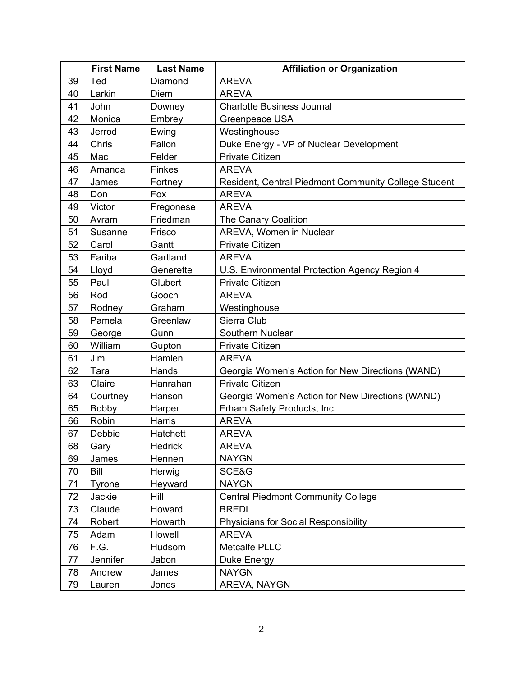|    | <b>First Name</b> | <b>Last Name</b> | <b>Affiliation or Organization</b>                   |
|----|-------------------|------------------|------------------------------------------------------|
| 39 | Ted               | Diamond          | <b>AREVA</b>                                         |
| 40 | Larkin            | Diem             | <b>AREVA</b>                                         |
| 41 | John              | Downey           | <b>Charlotte Business Journal</b>                    |
| 42 | Monica            | Embrey           | Greenpeace USA                                       |
| 43 | Jerrod            | Ewing            | Westinghouse                                         |
| 44 | Chris             | Fallon           | Duke Energy - VP of Nuclear Development              |
| 45 | Mac               | Felder           | Private Citizen                                      |
| 46 | Amanda            | <b>Finkes</b>    | <b>AREVA</b>                                         |
| 47 | James             | Fortney          | Resident, Central Piedmont Community College Student |
| 48 | Don               | Fox              | <b>AREVA</b>                                         |
| 49 | Victor            | Fregonese        | <b>AREVA</b>                                         |
| 50 | Avram             | Friedman         | The Canary Coalition                                 |
| 51 | Susanne           | Frisco           | AREVA, Women in Nuclear                              |
| 52 | Carol             | Gantt            | <b>Private Citizen</b>                               |
| 53 | Fariba            | Gartland         | <b>AREVA</b>                                         |
| 54 | Lloyd             | Generette        | U.S. Environmental Protection Agency Region 4        |
| 55 | Paul              | Glubert          | <b>Private Citizen</b>                               |
| 56 | Rod               | Gooch            | <b>AREVA</b>                                         |
| 57 | Rodney            | Graham           | Westinghouse                                         |
| 58 | Pamela            | Greenlaw         | Sierra Club                                          |
| 59 | George            | Gunn             | Southern Nuclear                                     |
| 60 | William           | Gupton           | Private Citizen                                      |
| 61 | Jim               | Hamlen           | <b>AREVA</b>                                         |
| 62 | Tara              | Hands            | Georgia Women's Action for New Directions (WAND)     |
| 63 | Claire            | Hanrahan         | <b>Private Citizen</b>                               |
| 64 | Courtney          | Hanson           | Georgia Women's Action for New Directions (WAND)     |
| 65 | Bobby             | Harper           | Frham Safety Products, Inc.                          |
| 66 | Robin             | Harris           | <b>AREVA</b>                                         |
| 67 | Debbie            | Hatchett         | <b>AREVA</b>                                         |
| 68 | Gary              | Hedrick          | <b>AREVA</b>                                         |
| 69 | James             | Hennen           | <b>NAYGN</b>                                         |
| 70 | Bill              | Herwig           | SCE&G                                                |
| 71 | Tyrone            | Heyward          | <b>NAYGN</b>                                         |
| 72 | Jackie            | Hill             | <b>Central Piedmont Community College</b>            |
| 73 | Claude            | Howard           | <b>BREDL</b>                                         |
| 74 | Robert            | Howarth          | <b>Physicians for Social Responsibility</b>          |
| 75 | Adam              | Howell           | <b>AREVA</b>                                         |
| 76 | F.G.              | Hudsom           | Metcalfe PLLC                                        |
| 77 | Jennifer          | Jabon            | Duke Energy                                          |
| 78 | Andrew            | James            | <b>NAYGN</b>                                         |
| 79 | Lauren            | Jones            | AREVA, NAYGN                                         |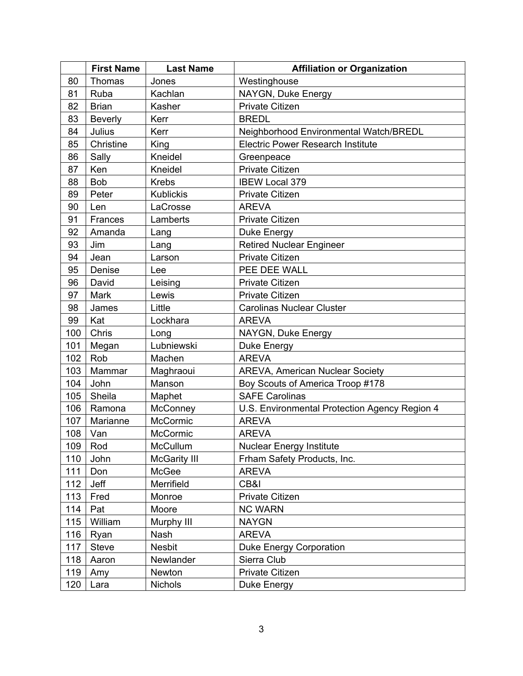|     | <b>First Name</b> | <b>Last Name</b>    | <b>Affiliation or Organization</b>            |
|-----|-------------------|---------------------|-----------------------------------------------|
| 80  | Thomas            | Jones               | Westinghouse                                  |
| 81  | Ruba              | Kachlan             | NAYGN, Duke Energy                            |
| 82  | <b>Brian</b>      | Kasher              | <b>Private Citizen</b>                        |
| 83  | <b>Beverly</b>    | Kerr                | <b>BREDL</b>                                  |
| 84  | Julius            | Kerr                | Neighborhood Environmental Watch/BREDL        |
| 85  | Christine         | King                | <b>Electric Power Research Institute</b>      |
| 86  | Sally             | Kneidel             | Greenpeace                                    |
| 87  | Ken               | Kneidel             | <b>Private Citizen</b>                        |
| 88  | <b>Bob</b>        | <b>Krebs</b>        | <b>IBEW Local 379</b>                         |
| 89  | Peter             | <b>Kublickis</b>    | <b>Private Citizen</b>                        |
| 90  | Len               | LaCrosse            | <b>AREVA</b>                                  |
| 91  | Frances           | Lamberts            | <b>Private Citizen</b>                        |
| 92  | Amanda            | Lang                | Duke Energy                                   |
| 93  | Jim               | Lang                | <b>Retired Nuclear Engineer</b>               |
| 94  | Jean              | Larson              | <b>Private Citizen</b>                        |
| 95  | Denise            | Lee                 | PEE DEE WALL                                  |
| 96  | David             | Leising             | <b>Private Citizen</b>                        |
| 97  | Mark              | Lewis               | Private Citizen                               |
| 98  | James             | Little              | <b>Carolinas Nuclear Cluster</b>              |
| 99  | Kat               | Lockhara            | <b>AREVA</b>                                  |
| 100 | Chris             | Long                | NAYGN, Duke Energy                            |
| 101 | Megan             | Lubniewski          | Duke Energy                                   |
| 102 | Rob               | Machen              | <b>AREVA</b>                                  |
| 103 | Mammar            | Maghraoui           | <b>AREVA, American Nuclear Society</b>        |
| 104 | John              | Manson              | Boy Scouts of America Troop #178              |
| 105 | Sheila            | Maphet              | <b>SAFE Carolinas</b>                         |
| 106 | Ramona            | McConney            | U.S. Environmental Protection Agency Region 4 |
| 107 | Marianne          | McCormic            | <b>AREVA</b>                                  |
| 108 | Van               | McCormic            | <b>AREVA</b>                                  |
| 109 | Rod               | McCullum            | <b>Nuclear Energy Institute</b>               |
| 110 | John              | <b>McGarity III</b> | Frham Safety Products, Inc.                   |
| 111 | Don               | McGee               | <b>AREVA</b>                                  |
| 112 | Jeff              | Merrifield          | CB&I                                          |
| 113 | Fred              | Monroe              | <b>Private Citizen</b>                        |
| 114 | Pat               | Moore               | <b>NC WARN</b>                                |
| 115 | William           | Murphy III          | <b>NAYGN</b>                                  |
| 116 | Ryan              | Nash                | <b>AREVA</b>                                  |
| 117 | <b>Steve</b>      | <b>Nesbit</b>       | <b>Duke Energy Corporation</b>                |
| 118 | Aaron             | Newlander           | Sierra Club                                   |
| 119 | Amy               | Newton              | Private Citizen                               |
| 120 | Lara              | <b>Nichols</b>      | Duke Energy                                   |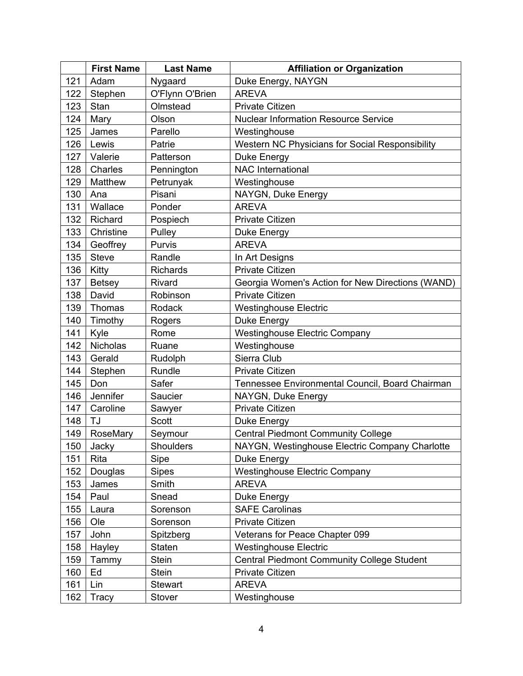|     | <b>First Name</b> | <b>Last Name</b> | <b>Affiliation or Organization</b>                |
|-----|-------------------|------------------|---------------------------------------------------|
| 121 | Adam              | Nygaard          | Duke Energy, NAYGN                                |
| 122 | Stephen           | O'Flynn O'Brien  | <b>AREVA</b>                                      |
| 123 | Stan              | Olmstead         | <b>Private Citizen</b>                            |
| 124 | Mary              | Olson            | <b>Nuclear Information Resource Service</b>       |
| 125 | James             | Parello          | Westinghouse                                      |
| 126 | Lewis             | Patrie           | Western NC Physicians for Social Responsibility   |
| 127 | Valerie           | Patterson        | Duke Energy                                       |
| 128 | Charles           | Pennington       | <b>NAC International</b>                          |
| 129 | Matthew           | Petrunyak        | Westinghouse                                      |
| 130 | Ana               | Pisani           | NAYGN, Duke Energy                                |
| 131 | Wallace           | Ponder           | <b>AREVA</b>                                      |
| 132 | Richard           | Pospiech         | Private Citizen                                   |
| 133 | Christine         | Pulley           | Duke Energy                                       |
| 134 | Geoffrey          | Purvis           | <b>AREVA</b>                                      |
| 135 | <b>Steve</b>      | Randle           | In Art Designs                                    |
| 136 | Kitty             | Richards         | <b>Private Citizen</b>                            |
| 137 | <b>Betsey</b>     | Rivard           | Georgia Women's Action for New Directions (WAND)  |
| 138 | David             | Robinson         | <b>Private Citizen</b>                            |
| 139 | Thomas            | Rodack           | <b>Westinghouse Electric</b>                      |
| 140 | Timothy           | Rogers           | Duke Energy                                       |
| 141 | Kyle              | Rome             | <b>Westinghouse Electric Company</b>              |
| 142 | Nicholas          | Ruane            | Westinghouse                                      |
| 143 | Gerald            | Rudolph          | Sierra Club                                       |
| 144 | Stephen           | Rundle           | <b>Private Citizen</b>                            |
| 145 | Don               | Safer            | Tennessee Environmental Council, Board Chairman   |
| 146 | Jennifer          | Saucier          | NAYGN, Duke Energy                                |
| 147 | Caroline          | Sawyer           | Private Citizen                                   |
| 148 | TJ                | <b>Scott</b>     | Duke Energy                                       |
| 149 | RoseMary          | Seymour          | <b>Central Piedmont Community College</b>         |
| 150 | Jacky             | Shoulders        | NAYGN, Westinghouse Electric Company Charlotte    |
| 151 | Rita              | Sipe             | Duke Energy                                       |
| 152 | Douglas           | <b>Sipes</b>     | <b>Westinghouse Electric Company</b>              |
| 153 | James             | Smith            | <b>AREVA</b>                                      |
| 154 | Paul              | Snead            | Duke Energy                                       |
| 155 | Laura             | Sorenson         | <b>SAFE Carolinas</b>                             |
| 156 | Ole               | Sorenson         | Private Citizen                                   |
| 157 | John              | Spitzberg        | Veterans for Peace Chapter 099                    |
| 158 | Hayley            | Staten           | <b>Westinghouse Electric</b>                      |
| 159 | Tammy             | Stein            | <b>Central Piedmont Community College Student</b> |
| 160 | Ed                | <b>Stein</b>     | Private Citizen                                   |
| 161 | Lin               | <b>Stewart</b>   | <b>AREVA</b>                                      |
| 162 | Tracy             | Stover           | Westinghouse                                      |